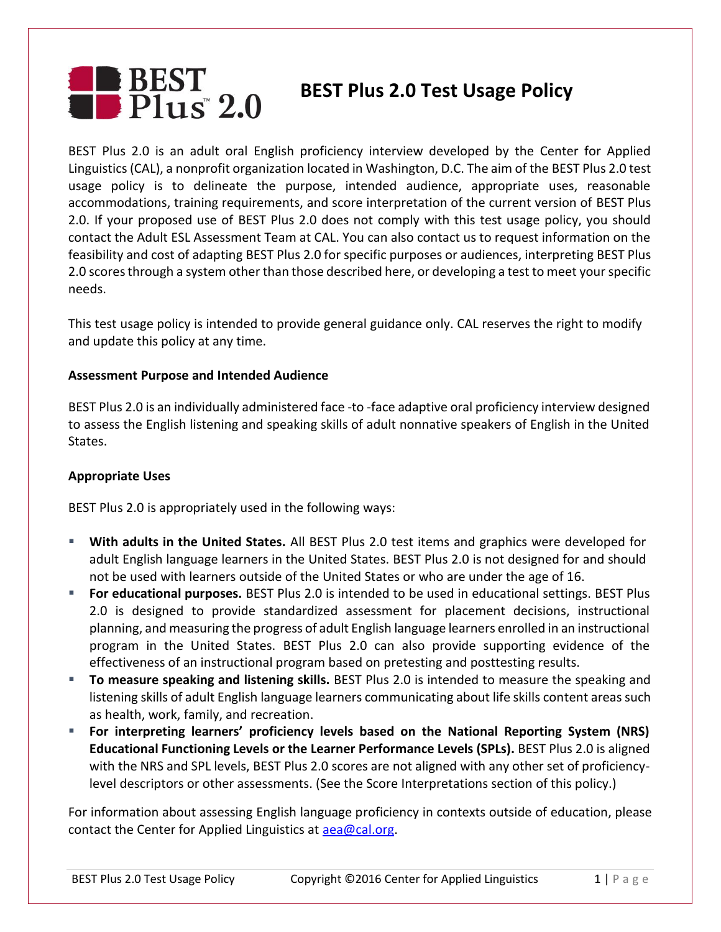# BEST<br>Belus 2.0 **BEST Plus 2.0 Test Usage Policy**

BEST Plus 2.0 is an adult oral English proficiency interview developed by the Center for Applied Linguistics (CAL), a nonprofit organization located in Washington, D.C. The aim of the BEST Plus 2.0 test usage policy is to delineate the purpose, intended audience, appropriate uses, reasonable accommodations, training requirements, and score interpretation of the current version of BEST Plus 2.0. If your proposed use of BEST Plus 2.0 does not comply with this test usage policy, you should contact the Adult ESL Assessment Team at CAL. You can also contact us to request information on the feasibility and cost of adapting BEST Plus 2.0 for specific purposes or audiences, interpreting BEST Plus 2.0 scores through a system other than those described here, or developing a test to meet your specific needs.

This test usage policy is intended to provide general guidance only. CAL reserves the right to modify and update this policy at any time.

### **Assessment Purpose and Intended Audience**

BEST Plus 2.0 is an individually administered face -to -face adaptive oral proficiency interview designed to assess the English listening and speaking skills of adult nonnative speakers of English in the United States.

#### **Appropriate Uses**

BEST Plus 2.0 is appropriately used in the following ways:

- **With adults in the United States.** All BEST Plus 2.0 test items and graphics were developed for adult English language learners in the United States. BEST Plus 2.0 is not designed for and should not be used with learners outside of the United States or who are under the age of 16.
- **For educational purposes.** BEST Plus 2.0 is intended to be used in educational settings. BEST Plus 2.0 is designed to provide standardized assessment for placement decisions, instructional planning, and measuring the progress of adult English language learners enrolled in an instructional program in the United States. BEST Plus 2.0 can also provide supporting evidence of the effectiveness of an instructional program based on pretesting and posttesting results.
- **To measure speaking and listening skills.** BEST Plus 2.0 is intended to measure the speaking and listening skills of adult English language learners communicating about life skills content areas such as health, work, family, and recreation.
- **For interpreting learners' proficiency levels based on the National Reporting System (NRS) Educational Functioning Levels or the Learner Performance Levels (SPLs).** BEST Plus 2.0 is aligned with the NRS and SPL levels, BEST Plus 2.0 scores are not aligned with any other set of proficiencylevel descriptors or other assessments. (See the Score Interpretations section of this policy.)

For information about assessing English language proficiency in contexts outside of education, please contact the Center for Applied Linguistics at [aea@cal.org.](mailto:aea@cal.org)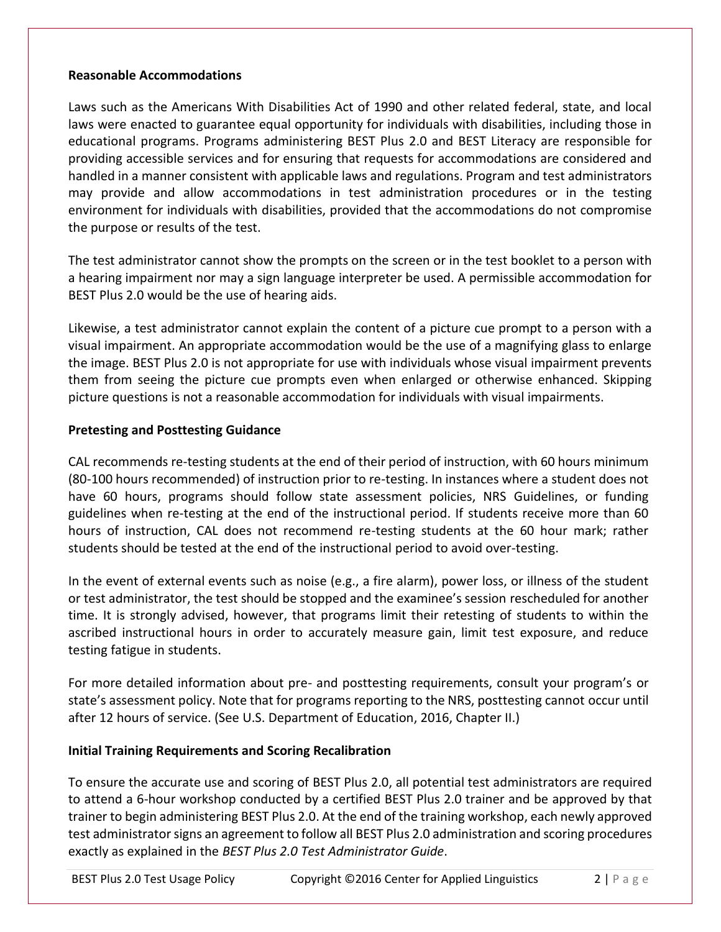### **Reasonable Accommodations**

Laws such as the Americans With Disabilities Act of 1990 and other related federal, state, and local laws were enacted to guarantee equal opportunity for individuals with disabilities, including those in educational programs. Programs administering BEST Plus 2.0 and BEST Literacy are responsible for providing accessible services and for ensuring that requests for accommodations are considered and handled in a manner consistent with applicable laws and regulations. Program and test administrators may provide and allow accommodations in test administration procedures or in the testing environment for individuals with disabilities, provided that the accommodations do not compromise the purpose or results of the test.

The test administrator cannot show the prompts on the screen or in the test booklet to a person with a hearing impairment nor may a sign language interpreter be used. A permissible accommodation for BEST Plus 2.0 would be the use of hearing aids.

Likewise, a test administrator cannot explain the content of a picture cue prompt to a person with a visual impairment. An appropriate accommodation would be the use of a magnifying glass to enlarge the image. BEST Plus 2.0 is not appropriate for use with individuals whose visual impairment prevents them from seeing the picture cue prompts even when enlarged or otherwise enhanced. Skipping picture questions is not a reasonable accommodation for individuals with visual impairments.

### **Pretesting and Posttesting Guidance**

CAL recommends re-testing students at the end of their period of instruction, with 60 hours minimum (80-100 hours recommended) of instruction prior to re-testing. In instances where a student does not have 60 hours, programs should follow state assessment policies, NRS Guidelines, or funding guidelines when re-testing at the end of the instructional period. If students receive more than 60 hours of instruction, CAL does not recommend re-testing students at the 60 hour mark; rather students should be tested at the end of the instructional period to avoid over-testing.

In the event of external events such as noise (e.g., a fire alarm), power loss, or illness of the student or test administrator, the test should be stopped and the examinee's session rescheduled for another time. It is strongly advised, however, that programs limit their retesting of students to within the ascribed instructional hours in order to accurately measure gain, limit test exposure, and reduce testing fatigue in students.

For more detailed information about pre- and posttesting requirements, consult your program's or state's assessment policy. Note that for programs reporting to the NRS, posttesting cannot occur until after 12 hours of service. (See U.S. Department of Education, 2016, Chapter II.)

## **Initial Training Requirements and Scoring Recalibration**

To ensure the accurate use and scoring of BEST Plus 2.0, all potential test administrators are required to attend a 6-hour workshop conducted by a certified BEST Plus 2.0 trainer and be approved by that trainer to begin administering BEST Plus 2.0. At the end of the training workshop, each newly approved test administrator signs an agreement to follow all BEST Plus 2.0 administration and scoring procedures exactly as explained in the *BEST Plus 2.0 Test Administrator Guide*.